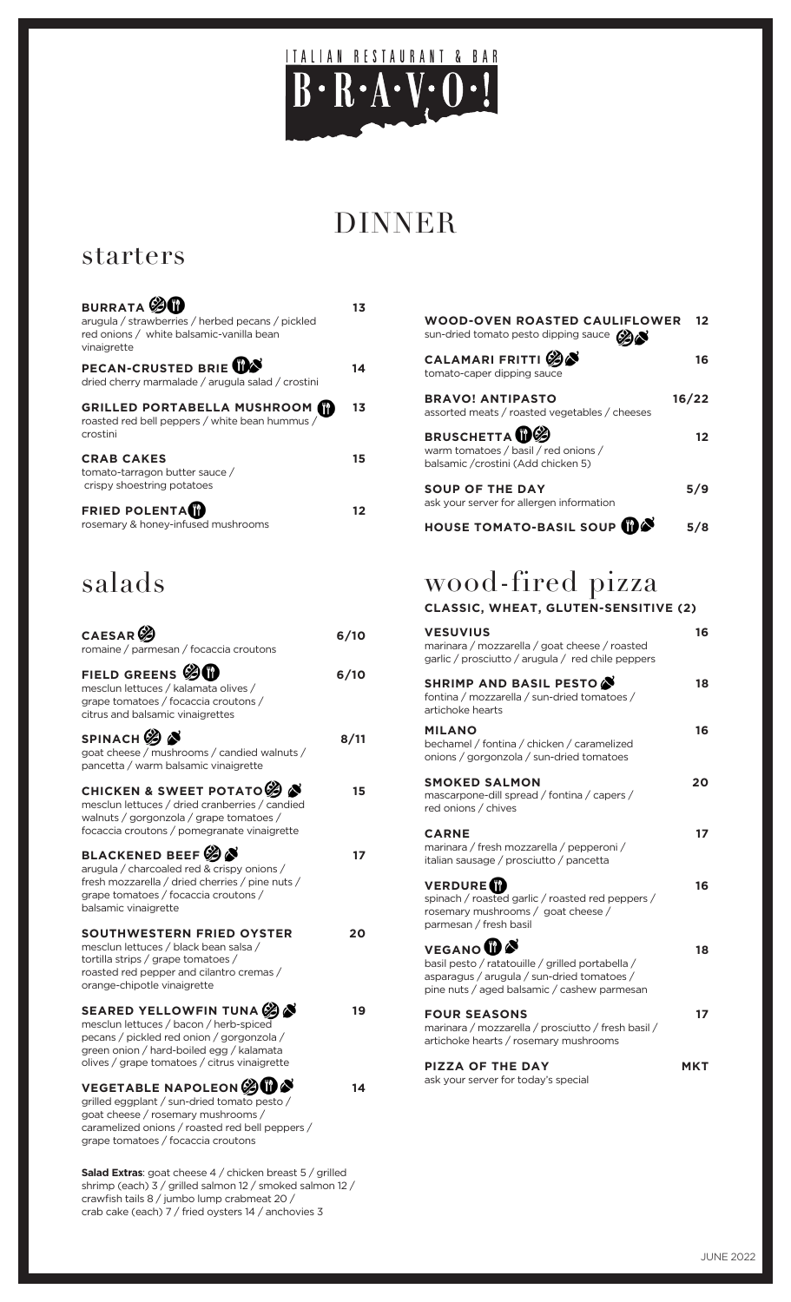

# DINNER

### starters

| <b>BURRATA</b><br>arugula / strawberries / herbed pecans / pickled<br>red onions / white balsamic-vanilla bean<br>vinaigrette | 13 |
|-------------------------------------------------------------------------------------------------------------------------------|----|
| PECAN-CRUSTED BRIE WAS<br>dried cherry marmalade / arugula salad / crostini                                                   | 14 |
| GRILLED PORTABELLA MUSHROOM<br>roasted red bell peppers / white bean hummus /<br>crostini                                     | 13 |
| <b>CRAB CAKES</b><br>tomato-tarragon butter sauce /<br>crispy shoestring potatoes                                             | 15 |
| <b>FRIED POLENTAM</b><br>rosemary & honey-infused mushrooms                                                                   |    |

# salads

| CAESAR <sup>C</sup><br>romaine / parmesan / focaccia croutons                                                                                                                                                | 6/10 |
|--------------------------------------------------------------------------------------------------------------------------------------------------------------------------------------------------------------|------|
| FIELD GREENS $\circledast \mathbf{0}$<br>mesclun lettuces / kalamata olives /<br>grape tomatoes / focaccia croutons /<br>citrus and balsamic vinaigrettes                                                    | 6/10 |
| SPINACH <sup>O</sup><br>goat cheese / mushrooms / candied walnuts /<br>pancetta / warm balsamic vinaigrette                                                                                                  | 8/11 |
| CHICKEN & SWEET POTATO $\mathscr{B}$<br>mesclun lettuces / dried cranberries / candied<br>walnuts / gorgonzola / grape tomatoes /<br>focaccia croutons / pomegranate vinaigrette                             | 15   |
| BLACKENED BEEF $\mathscr{\mathscr{B}}$<br>arugula / charcoaled red & crispy onions /<br>fresh mozzarella / dried cherries / pine nuts /<br>grape tomatoes / focaccia croutons /<br>balsamic vinaigrette      | 17   |
| SOUTHWESTERN FRIED OYSTER<br>mesclun lettuces / black bean salsa /<br>tortilla strips / grape tomatoes /<br>roasted red pepper and cilantro cremas /<br>orange-chipotle vinaigrette                          | 20   |
| SEARED YELLOWFIN TUNA<br>mesclun lettuces / bacon / herb-spiced<br>pecans / pickled red onion / gorgonzola /<br>green onion / hard-boiled egg / kalamata<br>olives / grape tomatoes / citrus vinaigrette     | 19   |
| <b>VEGETABLE NAPOLEON SUBS</b><br>grilled eggplant / sun-dried tomato pesto /<br>goat cheese / rosemary mushrooms /<br>caramelized onions / roasted red bell peppers /<br>grape tomatoes / focaccia croutons |      |

**Salad Extras**: goat cheese 4 / chicken breast 5 / grilled shrimp (each) 3 / grilled salmon 12 / smoked salmon 12 / crawfish tails 8 / jumbo lump crabmeat 20 / crab cake (each) 7 / fried oysters 14 / anchovies 3

| <b>WOOD-OVEN ROASTED CAULIFLOWER</b><br>sun-dried tomato pesto dipping sauce (2)                             | 12    |
|--------------------------------------------------------------------------------------------------------------|-------|
| CALAMARI FRITTI S<br>tomato-caper dipping sauce                                                              | 16    |
| <b>BRAVO! ANTIPASTO</b><br>assorted meats / roasted vegetables / cheeses                                     | 16/22 |
| <b>BRUSCHETTA</b> <sup>0</sup><br>warm tomatoes / basil / red onions /<br>balsamic /crostini (Add chicken 5) | 12    |
| <b>SOUP OF THE DAY</b><br>ask your server for allergen information                                           | 5/9   |
| <b>HOUSE TOMATO-BASIL SOUP</b>                                                                               |       |

## wood-fired pizza

#### **CLASSIC, WHEAT, GLUTEN-SENSITIVE (2)**

| <b>VESUVIUS</b><br>marinara / mozzarella / goat cheese / roasted<br>garlic / prosciutto / arugula / red chile peppers                                                      | 16  |
|----------------------------------------------------------------------------------------------------------------------------------------------------------------------------|-----|
| SHRIMP AND BASIL PESTO<br>fontina / mozzarella / sun-dried tomatoes /<br>artichoke hearts                                                                                  | 18  |
| <b>MILANO</b><br>bechamel / fontina / chicken / caramelized<br>onions / gorgonzola / sun-dried tomatoes                                                                    | 16  |
| <b>SMOKED SALMON</b><br>mascarpone-dill spread / fontina / capers /<br>red onions / chives                                                                                 | 20  |
| <b>CARNE</b><br>marinara / fresh mozzarella / pepperoni /<br>italian sausage / prosciutto / pancetta                                                                       | 17  |
| <b>VERDURE</b> <sup>1</sup><br>spinach / roasted garlic / roasted red peppers /<br>rosemary mushrooms / goat cheese /<br>parmesan / fresh basil                            | 16  |
| <b>VEGANO<sup>O</sup></b><br>basil pesto / ratatouille / grilled portabella /<br>asparagus / arugula / sun-dried tomatoes /<br>pine nuts / aged balsamic / cashew parmesan | 18  |
| <b>FOUR SEASONS</b><br>marinara / mozzarella / prosciutto / fresh basil /<br>artichoke hearts / rosemary mushrooms                                                         | 17  |
| <b>PIZZA OF THE DAY</b><br>ask your server for today's special                                                                                                             | MKT |